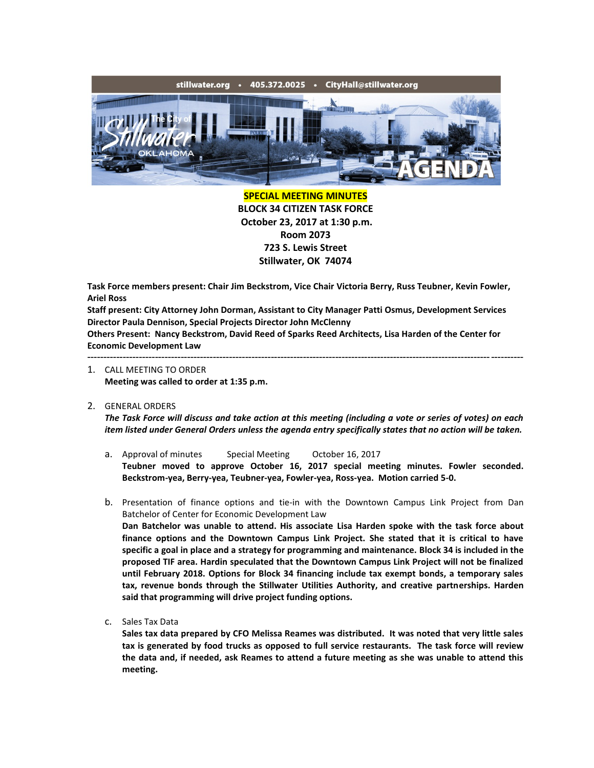

**SPECIAL MEETING MINUTES BLOCK 34 CITIZEN TASK FORCE October 23, 2017 at 1:30 p.m. Room 2073 723 S. Lewis Street Stillwater, OK 74074**

**Task Force members present: Chair Jim Beckstrom, Vice Chair Victoria Berry, Russ Teubner, Kevin Fowler, Ariel Ross**

**Staff present: City Attorney John Dorman, Assistant to City Manager Patti Osmus, Development Services Director Paula Dennison, Special Projects Director John McClenny**

**Others Present: Nancy Beckstrom, David Reed of Sparks Reed Architects, Lisa Harden of the Center for Economic Development Law**

---------------------------------------------------------------------------------------------------------------------------------------

- 1. CALL MEETING TO ORDER **Meeting was called to order at 1:35 p.m.**
- 2. GENERAL ORDERS

*The Task Force will discuss and take action at this meeting (including a vote or series of votes) on each item listed under General Orders unless the agenda entry specifically states that no action will be taken.*

- a. Approval of minutes Special Meeting October 16, 2017 **Teubner moved to approve October 16, 2017 special meeting minutes. Fowler seconded. Beckstrom-yea, Berry-yea, Teubner-yea, Fowler-yea, Ross-yea. Motion carried 5-0.**
- b. Presentation of finance options and tie-in with the Downtown Campus Link Project from Dan Batchelor of Center for Economic Development Law **Dan Batchelor was unable to attend. His associate Lisa Harden spoke with the task force about**

**finance options and the Downtown Campus Link Project. She stated that it is critical to have specific a goal in place and a strategy for programming and maintenance. Block 34 is included in the proposed TIF area. Hardin speculated that the Downtown Campus Link Project will not be finalized until February 2018. Options for Block 34 financing include tax exempt bonds, a temporary sales tax, revenue bonds through the Stillwater Utilities Authority, and creative partnerships. Harden said that programming will drive project funding options.**

c. Sales Tax Data

**Sales tax data prepared by CFO Melissa Reames was distributed. It was noted that very little sales tax is generated by food trucks as opposed to full service restaurants. The task force will review the data and, if needed, ask Reames to attend a future meeting as she was unable to attend this meeting.**